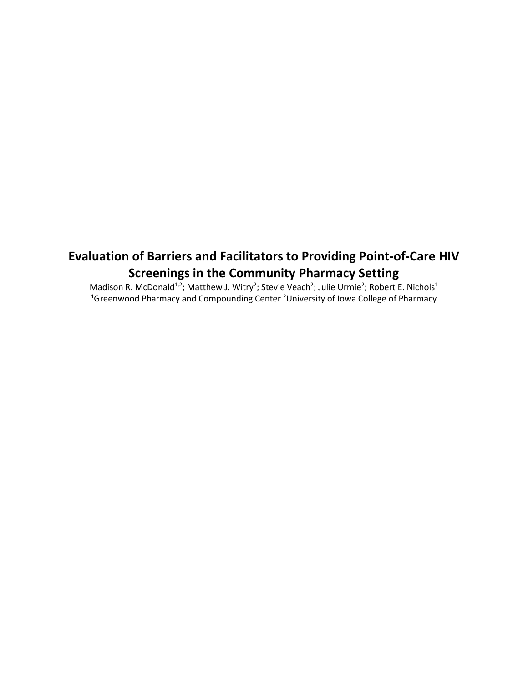### **Evaluation of Barriers and Facilitators to Providing Point-of-Care HIV Screenings in the Community Pharmacy Setting**

Madison R. McDonald<sup>1,2</sup>; Matthew J. Witry<sup>2</sup>; Stevie Veach<sup>2</sup>; Julie Urmie<sup>2</sup>; Robert E. Nichols<sup>1</sup> <sup>1</sup>Greenwood Pharmacy and Compounding Center <sup>2</sup>University of Iowa College of Pharmacy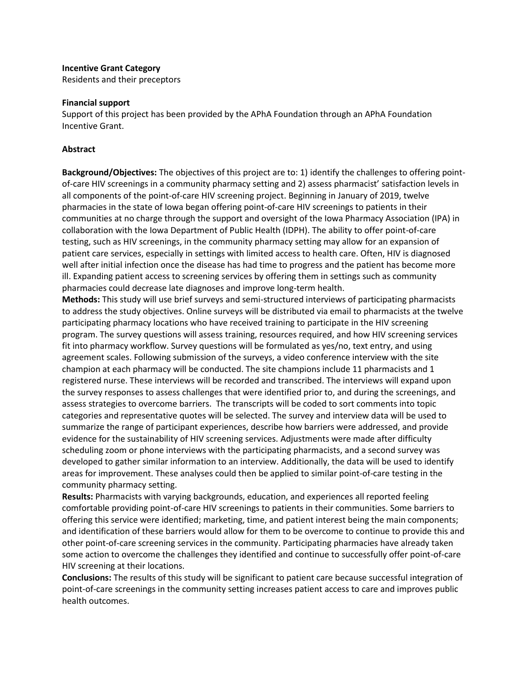#### **Incentive Grant Category**

Residents and their preceptors

#### **Financial support**

Support of this project has been provided by the APhA Foundation through an APhA Foundation Incentive Grant.

#### **Abstract**

**Background/Objectives:** The objectives of this project are to: 1) identify the challenges to offering pointof-care HIV screenings in a community pharmacy setting and 2) assess pharmacist' satisfaction levels in all components of the point-of-care HIV screening project. Beginning in January of 2019, twelve pharmacies in the state of Iowa began offering point-of-care HIV screenings to patients in their communities at no charge through the support and oversight of the Iowa Pharmacy Association (IPA) in collaboration with the Iowa Department of Public Health (IDPH). The ability to offer point-of-care testing, such as HIV screenings, in the community pharmacy setting may allow for an expansion of patient care services, especially in settings with limited access to health care. Often, HIV is diagnosed well after initial infection once the disease has had time to progress and the patient has become more ill. Expanding patient access to screening services by offering them in settings such as community pharmacies could decrease late diagnoses and improve long-term health.

**Methods:** This study will use brief surveys and semi-structured interviews of participating pharmacists to address the study objectives. Online surveys will be distributed via email to pharmacists at the twelve participating pharmacy locations who have received training to participate in the HIV screening program. The survey questions will assess training, resources required, and how HIV screening services fit into pharmacy workflow. Survey questions will be formulated as yes/no, text entry, and using agreement scales. Following submission of the surveys, a video conference interview with the site champion at each pharmacy will be conducted. The site champions include 11 pharmacists and 1 registered nurse. These interviews will be recorded and transcribed. The interviews will expand upon the survey responses to assess challenges that were identified prior to, and during the screenings, and assess strategies to overcome barriers. The transcripts will be coded to sort comments into topic categories and representative quotes will be selected. The survey and interview data will be used to summarize the range of participant experiences, describe how barriers were addressed, and provide evidence for the sustainability of HIV screening services. Adjustments were made after difficulty scheduling zoom or phone interviews with the participating pharmacists, and a second survey was developed to gather similar information to an interview. Additionally, the data will be used to identify areas for improvement. These analyses could then be applied to similar point-of-care testing in the community pharmacy setting.

**Results:** Pharmacists with varying backgrounds, education, and experiences all reported feeling comfortable providing point-of-care HIV screenings to patients in their communities. Some barriers to offering this service were identified; marketing, time, and patient interest being the main components; and identification of these barriers would allow for them to be overcome to continue to provide this and other point-of-care screening services in the community. Participating pharmacies have already taken some action to overcome the challenges they identified and continue to successfully offer point-of-care HIV screening at their locations.

**Conclusions:** The results of this study will be significant to patient care because successful integration of point-of-care screenings in the community setting increases patient access to care and improves public health outcomes.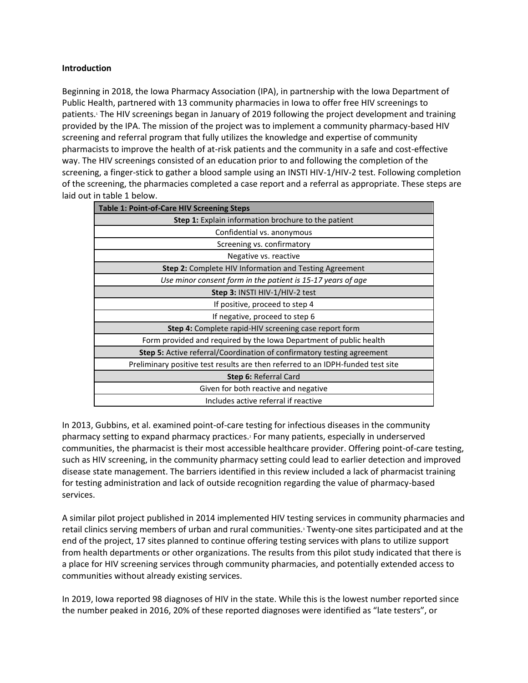#### **Introduction**

Beginning in 2018, the Iowa Pharmacy Association (IPA), in partnership with the Iowa Department of Public Health, partnered with 13 community pharmacies in Iowa to offer free HIV screenings to patients.<sup>1</sup> The HIV screenings began in January of 2019 following the project development and training provided by the IPA. The mission of the project was to implement a community pharmacy-based HIV screening and referral program that fully utilizes the knowledge and expertise of community pharmacists to improve the health of at-risk patients and the community in a safe and cost-effective way. The HIV screenings consisted of an education prior to and following the completion of the screening, a finger-stick to gather a blood sample using an INSTI HIV-1/HIV-2 test. Following completion of the screening, the pharmacies completed a case report and a referral as appropriate. These steps are laid out in table 1 below.

| <b>Table 1: Point-of-Care HIV Screening Steps</b>                               |
|---------------------------------------------------------------------------------|
| <b>Step 1:</b> Explain information brochure to the patient                      |
| Confidential vs. anonymous                                                      |
| Screening vs. confirmatory                                                      |
| Negative vs. reactive                                                           |
| <b>Step 2:</b> Complete HIV Information and Testing Agreement                   |
| Use minor consent form in the patient is 15-17 years of age                     |
| Step 3: INSTI HIV-1/HIV-2 test                                                  |
| If positive, proceed to step 4                                                  |
| If negative, proceed to step 6                                                  |
| <b>Step 4:</b> Complete rapid-HIV screening case report form                    |
| Form provided and required by the Iowa Department of public health              |
| <b>Step 5:</b> Active referral/Coordination of confirmatory testing agreement   |
| Preliminary positive test results are then referred to an IDPH-funded test site |
| <b>Step 6: Referral Card</b>                                                    |
| Given for both reactive and negative                                            |
| Includes active referral if reactive                                            |

In 2013, Gubbins, et al. examined point-of-care testing for infectious diseases in the community pharmacy setting to expand pharmacy practices.<sup>2</sup> For many patients, especially in underserved communities, the pharmacist is their most accessible healthcare provider. Offering point-of-care testing, such as HIV screening, in the community pharmacy setting could lead to earlier detection and improved disease state management. The barriers identified in this review included a lack of pharmacist training for testing administration and lack of outside recognition regarding the value of pharmacy-based services.

A similar pilot project published in 2014 implemented HIV testing services in community pharmacies and retail clinics serving members of urban and rural communities.<sup>3</sup> Twenty-one sites participated and at the end of the project, 17 sites planned to continue offering testing services with plans to utilize support from health departments or other organizations. The results from this pilot study indicated that there is a place for HIV screening services through community pharmacies, and potentially extended access to communities without already existing services.

In 2019, Iowa reported 98 diagnoses of HIV in the state. While this is the lowest number reported since the number peaked in 2016, 20% of these reported diagnoses were identified as "late testers", or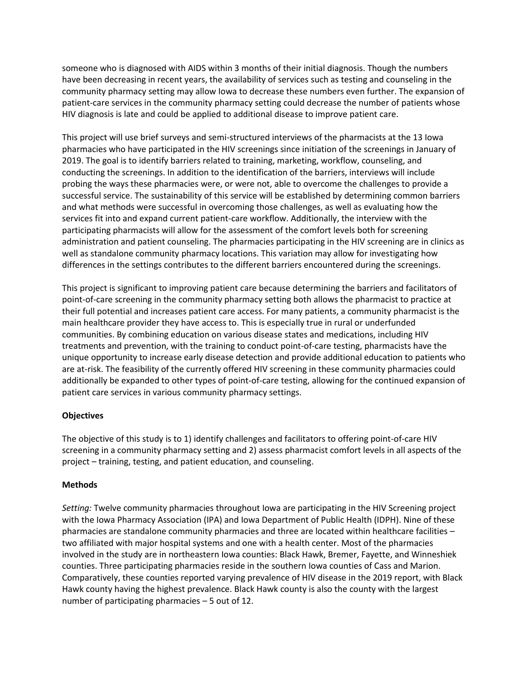someone who is diagnosed with AIDS within 3 months of their initial diagnosis. Though the numbers have been decreasing in recent years, the availability of services such as testing and counseling in the community pharmacy setting may allow Iowa to decrease these numbers even further. The expansion of patient-care services in the community pharmacy setting could decrease the number of patients whose HIV diagnosis is late and could be applied to additional disease to improve patient care.

This project will use brief surveys and semi-structured interviews of the pharmacists at the 13 Iowa pharmacies who have participated in the HIV screenings since initiation of the screenings in January of 2019. The goal is to identify barriers related to training, marketing, workflow, counseling, and conducting the screenings. In addition to the identification of the barriers, interviews will include probing the ways these pharmacies were, or were not, able to overcome the challenges to provide a successful service. The sustainability of this service will be established by determining common barriers and what methods were successful in overcoming those challenges, as well as evaluating how the services fit into and expand current patient-care workflow. Additionally, the interview with the participating pharmacists will allow for the assessment of the comfort levels both for screening administration and patient counseling. The pharmacies participating in the HIV screening are in clinics as well as standalone community pharmacy locations. This variation may allow for investigating how differences in the settings contributes to the different barriers encountered during the screenings.

This project is significant to improving patient care because determining the barriers and facilitators of point-of-care screening in the community pharmacy setting both allows the pharmacist to practice at their full potential and increases patient care access. For many patients, a community pharmacist is the main healthcare provider they have access to. This is especially true in rural or underfunded communities. By combining education on various disease states and medications, including HIV treatments and prevention, with the training to conduct point-of-care testing, pharmacists have the unique opportunity to increase early disease detection and provide additional education to patients who are at-risk. The feasibility of the currently offered HIV screening in these community pharmacies could additionally be expanded to other types of point-of-care testing, allowing for the continued expansion of patient care services in various community pharmacy settings.

#### **Objectives**

The objective of this study is to 1) identify challenges and facilitators to offering point-of-care HIV screening in a community pharmacy setting and 2) assess pharmacist comfort levels in all aspects of the project – training, testing, and patient education, and counseling.

#### **Methods**

*Setting:* Twelve community pharmacies throughout Iowa are participating in the HIV Screening project with the Iowa Pharmacy Association (IPA) and Iowa Department of Public Health (IDPH). Nine of these pharmacies are standalone community pharmacies and three are located within healthcare facilities – two affiliated with major hospital systems and one with a health center. Most of the pharmacies involved in the study are in northeastern Iowa counties: Black Hawk, Bremer, Fayette, and Winneshiek counties. Three participating pharmacies reside in the southern Iowa counties of Cass and Marion. Comparatively, these counties reported varying prevalence of HIV disease in the 2019 report, with Black Hawk county having the highest prevalence. Black Hawk county is also the county with the largest number of participating pharmacies – 5 out of 12.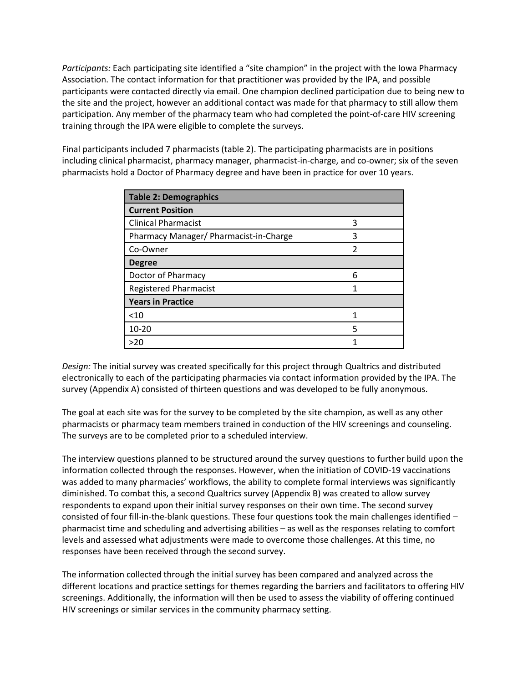*Participants:* Each participating site identified a "site champion" in the project with the Iowa Pharmacy Association. The contact information for that practitioner was provided by the IPA, and possible participants were contacted directly via email. One champion declined participation due to being new to the site and the project, however an additional contact was made for that pharmacy to still allow them participation. Any member of the pharmacy team who had completed the point-of-care HIV screening training through the IPA were eligible to complete the surveys.

Final participants included 7 pharmacists (table 2). The participating pharmacists are in positions including clinical pharmacist, pharmacy manager, pharmacist-in-charge, and co-owner; six of the seven pharmacists hold a Doctor of Pharmacy degree and have been in practice for over 10 years.

| Table 2: Demographics                  |               |  |  |  |  |
|----------------------------------------|---------------|--|--|--|--|
| <b>Current Position</b>                |               |  |  |  |  |
| <b>Clinical Pharmacist</b>             | 3             |  |  |  |  |
| Pharmacy Manager/ Pharmacist-in-Charge | 3             |  |  |  |  |
| Co-Owner                               | $\mathfrak z$ |  |  |  |  |
| <b>Degree</b>                          |               |  |  |  |  |
| Doctor of Pharmacy                     | 6             |  |  |  |  |
| <b>Registered Pharmacist</b>           | 1             |  |  |  |  |
| <b>Years in Practice</b>               |               |  |  |  |  |
| < 10                                   |               |  |  |  |  |
| 10-20                                  | 5             |  |  |  |  |
| >20                                    |               |  |  |  |  |

*Design:* The initial survey was created specifically for this project through Qualtrics and distributed electronically to each of the participating pharmacies via contact information provided by the IPA. The survey (Appendix A) consisted of thirteen questions and was developed to be fully anonymous.

The goal at each site was for the survey to be completed by the site champion, as well as any other pharmacists or pharmacy team members trained in conduction of the HIV screenings and counseling. The surveys are to be completed prior to a scheduled interview.

The interview questions planned to be structured around the survey questions to further build upon the information collected through the responses. However, when the initiation of COVID-19 vaccinations was added to many pharmacies' workflows, the ability to complete formal interviews was significantly diminished. To combat this, a second Qualtrics survey (Appendix B) was created to allow survey respondents to expand upon their initial survey responses on their own time. The second survey consisted of four fill-in-the-blank questions. These four questions took the main challenges identified – pharmacist time and scheduling and advertising abilities – as well as the responses relating to comfort levels and assessed what adjustments were made to overcome those challenges. At this time, no responses have been received through the second survey.

The information collected through the initial survey has been compared and analyzed across the different locations and practice settings for themes regarding the barriers and facilitators to offering HIV screenings. Additionally, the information will then be used to assess the viability of offering continued HIV screenings or similar services in the community pharmacy setting.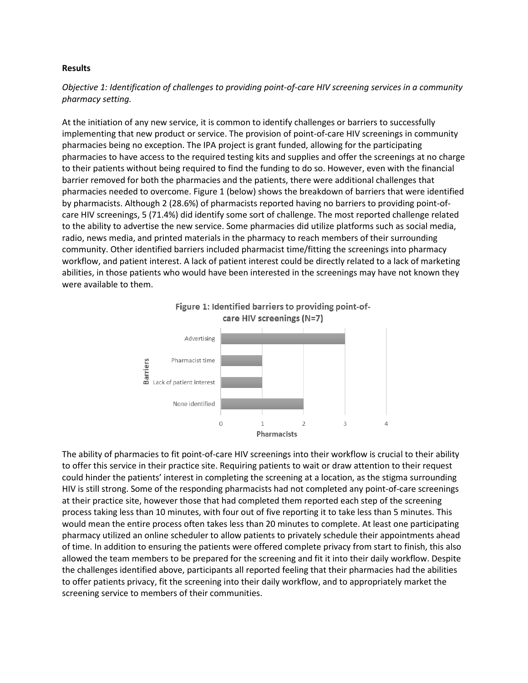#### **Results**

*Objective 1: Identification of challenges to providing point-of-care HIV screening services in a community pharmacy setting.*

At the initiation of any new service, it is common to identify challenges or barriers to successfully implementing that new product or service. The provision of point-of-care HIV screenings in community pharmacies being no exception. The IPA project is grant funded, allowing for the participating pharmacies to have access to the required testing kits and supplies and offer the screenings at no charge to their patients without being required to find the funding to do so. However, even with the financial barrier removed for both the pharmacies and the patients, there were additional challenges that pharmacies needed to overcome. Figure 1 (below) shows the breakdown of barriers that were identified by pharmacists. Although 2 (28.6%) of pharmacists reported having no barriers to providing point-ofcare HIV screenings, 5 (71.4%) did identify some sort of challenge. The most reported challenge related to the ability to advertise the new service. Some pharmacies did utilize platforms such as social media, radio, news media, and printed materials in the pharmacy to reach members of their surrounding community. Other identified barriers included pharmacist time/fitting the screenings into pharmacy workflow, and patient interest. A lack of patient interest could be directly related to a lack of marketing abilities, in those patients who would have been interested in the screenings may have not known they were available to them.



The ability of pharmacies to fit point-of-care HIV screenings into their workflow is crucial to their ability to offer this service in their practice site. Requiring patients to wait or draw attention to their request could hinder the patients' interest in completing the screening at a location, as the stigma surrounding HIV is still strong. Some of the responding pharmacists had not completed any point-of-care screenings at their practice site, however those that had completed them reported each step of the screening process taking less than 10 minutes, with four out of five reporting it to take less than 5 minutes. This would mean the entire process often takes less than 20 minutes to complete. At least one participating pharmacy utilized an online scheduler to allow patients to privately schedule their appointments ahead of time. In addition to ensuring the patients were offered complete privacy from start to finish, this also allowed the team members to be prepared for the screening and fit it into their daily workflow. Despite the challenges identified above, participants all reported feeling that their pharmacies had the abilities to offer patients privacy, fit the screening into their daily workflow, and to appropriately market the screening service to members of their communities.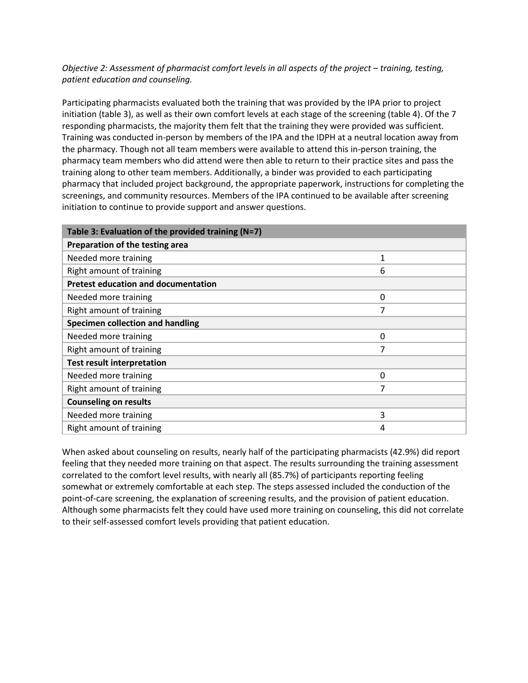*Objective 2: Assessment of pharmacist comfort levels in all aspects of the project – training, testing, patient education and counseling.*

Participating pharmacists evaluated both the training that was provided by the IPA prior to project initiation (table 3), as well as their own comfort levels at each stage of the screening (table 4). Of the 7 responding pharmacists, the majority them felt that the training they were provided was sufficient. Training was conducted in-person by members of the IPA and the IDPH at a neutral location away from the pharmacy. Though not all team members were available to attend this in-person training, the pharmacy team members who did attend were then able to return to their practice sites and pass the training along to other team members. Additionally, a binder was provided to each participating pharmacy that included project background, the appropriate paperwork, instructions for completing the screenings, and community resources. Members of the IPA continued to be available after screening initiation to continue to provide support and answer questions.

| Table 3: Evaluation of the provided training (N=7) |   |  |  |  |
|----------------------------------------------------|---|--|--|--|
| Preparation of the testing area                    |   |  |  |  |
| Needed more training                               | 1 |  |  |  |
| Right amount of training                           | 6 |  |  |  |
| <b>Pretest education and documentation</b>         |   |  |  |  |
| Needed more training                               | 0 |  |  |  |
| Right amount of training                           | 7 |  |  |  |
| Specimen collection and handling                   |   |  |  |  |
| Needed more training                               | 0 |  |  |  |
| Right amount of training                           | 7 |  |  |  |
| <b>Test result interpretation</b>                  |   |  |  |  |
| Needed more training                               | 0 |  |  |  |
| Right amount of training                           | 7 |  |  |  |
| <b>Counseling on results</b>                       |   |  |  |  |
| Needed more training                               | 3 |  |  |  |
| Right amount of training                           | 4 |  |  |  |

When asked about counseling on results, nearly half of the participating pharmacists (42.9%) did report feeling that they needed more training on that aspect. The results surrounding the training assessment correlated to the comfort level results, with nearly all (85.7%) of participants reporting feeling somewhat or extremely comfortable at each step. The steps assessed included the conduction of the point-of-care screening, the explanation of screening results, and the provision of patient education. Although some pharmacists felt they could have used more training on counseling, this did not correlate to their self-assessed comfort levels providing that patient education.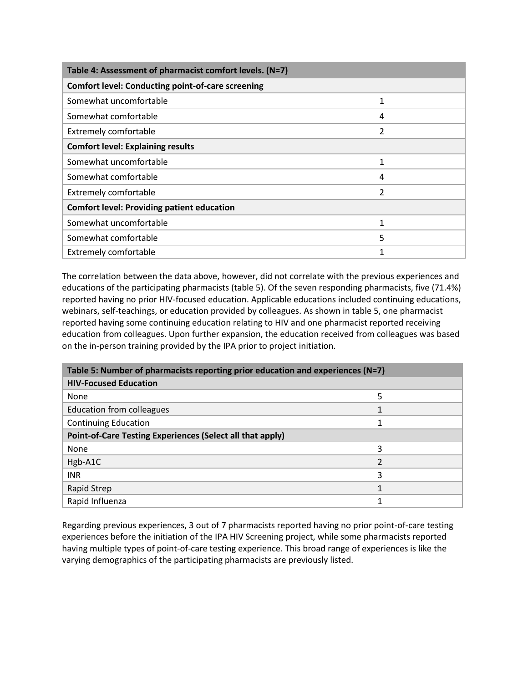| Table 4: Assessment of pharmacist comfort levels. (N=7)  |   |  |  |  |  |
|----------------------------------------------------------|---|--|--|--|--|
| <b>Comfort level: Conducting point-of-care screening</b> |   |  |  |  |  |
| Somewhat uncomfortable                                   |   |  |  |  |  |
| Somewhat comfortable                                     | 4 |  |  |  |  |
| <b>Extremely comfortable</b>                             | 2 |  |  |  |  |
| <b>Comfort level: Explaining results</b>                 |   |  |  |  |  |
| Somewhat uncomfortable                                   |   |  |  |  |  |
| Somewhat comfortable                                     | 4 |  |  |  |  |
| <b>Extremely comfortable</b>                             | 2 |  |  |  |  |
| <b>Comfort level: Providing patient education</b>        |   |  |  |  |  |
| Somewhat uncomfortable                                   |   |  |  |  |  |
| Somewhat comfortable                                     | 5 |  |  |  |  |
| <b>Extremely comfortable</b>                             |   |  |  |  |  |

The correlation between the data above, however, did not correlate with the previous experiences and educations of the participating pharmacists (table 5). Of the seven responding pharmacists, five (71.4%) reported having no prior HIV-focused education. Applicable educations included continuing educations, webinars, self-teachings, or education provided by colleagues. As shown in table 5, one pharmacist reported having some continuing education relating to HIV and one pharmacist reported receiving education from colleagues. Upon further expansion, the education received from colleagues was based on the in-person training provided by the IPA prior to project initiation.

| Table 5: Number of pharmacists reporting prior education and experiences (N=7) |   |  |  |  |
|--------------------------------------------------------------------------------|---|--|--|--|
| <b>HIV-Focused Education</b>                                                   |   |  |  |  |
| None                                                                           | 5 |  |  |  |
| Education from colleagues                                                      |   |  |  |  |
| <b>Continuing Education</b>                                                    |   |  |  |  |
| Point-of-Care Testing Experiences (Select all that apply)                      |   |  |  |  |
| None                                                                           | ς |  |  |  |
| Hgb-A1C                                                                        | ำ |  |  |  |
| <b>INR</b>                                                                     | 3 |  |  |  |
| Rapid Strep                                                                    |   |  |  |  |
| Rapid Influenza                                                                |   |  |  |  |

Regarding previous experiences, 3 out of 7 pharmacists reported having no prior point-of-care testing experiences before the initiation of the IPA HIV Screening project, while some pharmacists reported having multiple types of point-of-care testing experience. This broad range of experiences is like the varying demographics of the participating pharmacists are previously listed.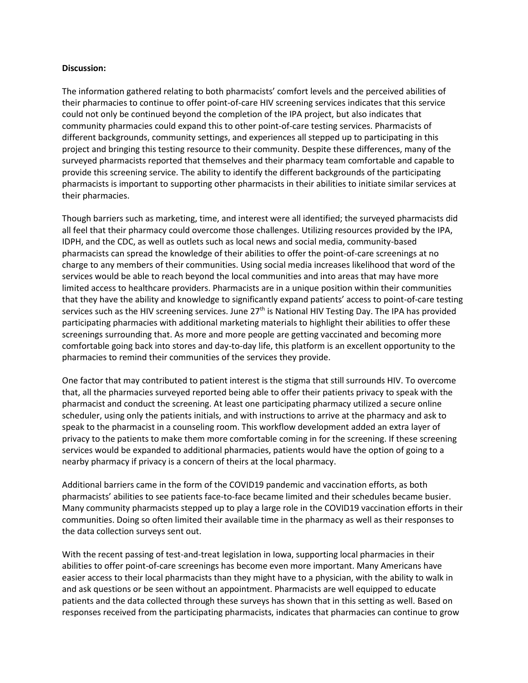#### **Discussion:**

The information gathered relating to both pharmacists' comfort levels and the perceived abilities of their pharmacies to continue to offer point-of-care HIV screening services indicates that this service could not only be continued beyond the completion of the IPA project, but also indicates that community pharmacies could expand this to other point-of-care testing services. Pharmacists of different backgrounds, community settings, and experiences all stepped up to participating in this project and bringing this testing resource to their community. Despite these differences, many of the surveyed pharmacists reported that themselves and their pharmacy team comfortable and capable to provide this screening service. The ability to identify the different backgrounds of the participating pharmacists is important to supporting other pharmacists in their abilities to initiate similar services at their pharmacies.

Though barriers such as marketing, time, and interest were all identified; the surveyed pharmacists did all feel that their pharmacy could overcome those challenges. Utilizing resources provided by the IPA, IDPH, and the CDC, as well as outlets such as local news and social media, community-based pharmacists can spread the knowledge of their abilities to offer the point-of-care screenings at no charge to any members of their communities. Using social media increases likelihood that word of the services would be able to reach beyond the local communities and into areas that may have more limited access to healthcare providers. Pharmacists are in a unique position within their communities that they have the ability and knowledge to significantly expand patients' access to point-of-care testing services such as the HIV screening services. June 27<sup>th</sup> is National HIV Testing Day. The IPA has provided participating pharmacies with additional marketing materials to highlight their abilities to offer these screenings surrounding that. As more and more people are getting vaccinated and becoming more comfortable going back into stores and day-to-day life, this platform is an excellent opportunity to the pharmacies to remind their communities of the services they provide.

One factor that may contributed to patient interest is the stigma that still surrounds HIV. To overcome that, all the pharmacies surveyed reported being able to offer their patients privacy to speak with the pharmacist and conduct the screening. At least one participating pharmacy utilized a secure online scheduler, using only the patients initials, and with instructions to arrive at the pharmacy and ask to speak to the pharmacist in a counseling room. This workflow development added an extra layer of privacy to the patients to make them more comfortable coming in for the screening. If these screening services would be expanded to additional pharmacies, patients would have the option of going to a nearby pharmacy if privacy is a concern of theirs at the local pharmacy.

Additional barriers came in the form of the COVID19 pandemic and vaccination efforts, as both pharmacists' abilities to see patients face-to-face became limited and their schedules became busier. Many community pharmacists stepped up to play a large role in the COVID19 vaccination efforts in their communities. Doing so often limited their available time in the pharmacy as well as their responses to the data collection surveys sent out.

With the recent passing of test-and-treat legislation in Iowa, supporting local pharmacies in their abilities to offer point-of-care screenings has become even more important. Many Americans have easier access to their local pharmacists than they might have to a physician, with the ability to walk in and ask questions or be seen without an appointment. Pharmacists are well equipped to educate patients and the data collected through these surveys has shown that in this setting as well. Based on responses received from the participating pharmacists, indicates that pharmacies can continue to grow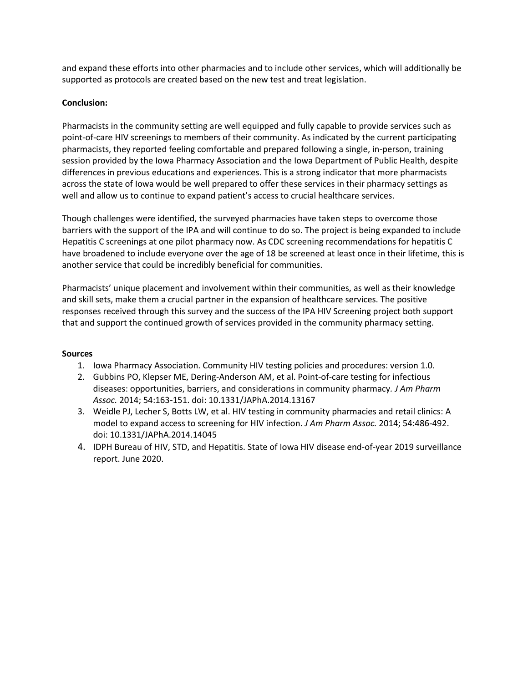and expand these efforts into other pharmacies and to include other services, which will additionally be supported as protocols are created based on the new test and treat legislation.

#### **Conclusion:**

Pharmacists in the community setting are well equipped and fully capable to provide services such as point-of-care HIV screenings to members of their community. As indicated by the current participating pharmacists, they reported feeling comfortable and prepared following a single, in-person, training session provided by the Iowa Pharmacy Association and the Iowa Department of Public Health, despite differences in previous educations and experiences. This is a strong indicator that more pharmacists across the state of Iowa would be well prepared to offer these services in their pharmacy settings as well and allow us to continue to expand patient's access to crucial healthcare services.

Though challenges were identified, the surveyed pharmacies have taken steps to overcome those barriers with the support of the IPA and will continue to do so. The project is being expanded to include Hepatitis C screenings at one pilot pharmacy now. As CDC screening recommendations for hepatitis C have broadened to include everyone over the age of 18 be screened at least once in their lifetime, this is another service that could be incredibly beneficial for communities.

Pharmacists' unique placement and involvement within their communities, as well as their knowledge and skill sets, make them a crucial partner in the expansion of healthcare services. The positive responses received through this survey and the success of the IPA HIV Screening project both support that and support the continued growth of services provided in the community pharmacy setting.

#### **Sources**

- 1. Iowa Pharmacy Association. Community HIV testing policies and procedures: version 1.0.
- 2. Gubbins PO, Klepser ME, Dering-Anderson AM, et al. Point-of-care testing for infectious diseases: opportunities, barriers, and considerations in community pharmacy*. J Am Pharm Assoc.* 2014; 54:163-151. doi: 10.1331/JAPhA.2014.13167
- 3. Weidle PJ, Lecher S, Botts LW, et al. HIV testing in community pharmacies and retail clinics: A model to expand access to screening for HIV infection. *J Am Pharm Assoc.* 2014; 54:486-492. doi: 10.1331/JAPhA.2014.14045
- 4. IDPH Bureau of HIV, STD, and Hepatitis. State of Iowa HIV disease end-of-year 2019 surveillance report. June 2020.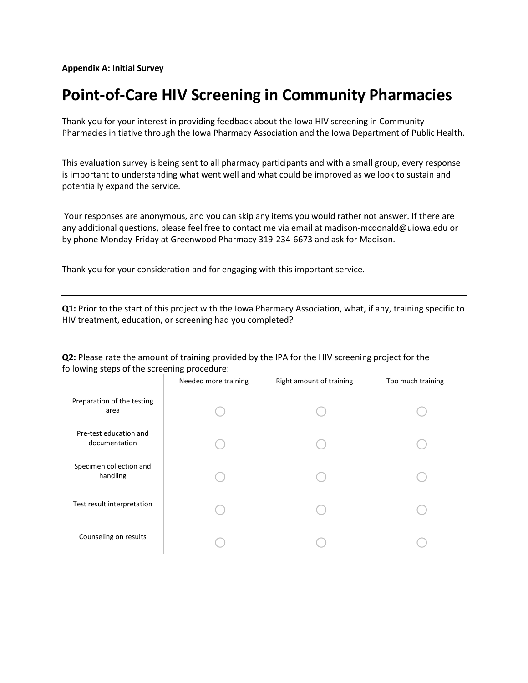**Appendix A: Initial Survey**

## **Point-of-Care HIV Screening in Community Pharmacies**

Thank you for your interest in providing feedback about the Iowa HIV screening in Community Pharmacies initiative through the Iowa Pharmacy Association and the Iowa Department of Public Health.

This evaluation survey is being sent to all pharmacy participants and with a small group, every response is important to understanding what went well and what could be improved as we look to sustain and potentially expand the service.

Your responses are anonymous, and you can skip any items you would rather not answer. If there are any additional questions, please feel free to contact me via email at madison-mcdonald@uiowa.edu or by phone Monday-Friday at Greenwood Pharmacy 319-234-6673 and ask for Madison.

Thank you for your consideration and for engaging with this important service.

**Q1:** Prior to the start of this project with the Iowa Pharmacy Association, what, if any, training specific to HIV treatment, education, or screening had you completed?

#### **Q2:** Please rate the amount of training provided by the IPA for the HIV screening project for the following steps of the screening procedure:

|                                         | Needed more training | Right amount of training | Too much training |
|-----------------------------------------|----------------------|--------------------------|-------------------|
| Preparation of the testing<br>area      |                      |                          |                   |
| Pre-test education and<br>documentation |                      |                          |                   |
| Specimen collection and<br>handling     |                      |                          |                   |
| Test result interpretation              |                      |                          |                   |
| Counseling on results                   |                      |                          |                   |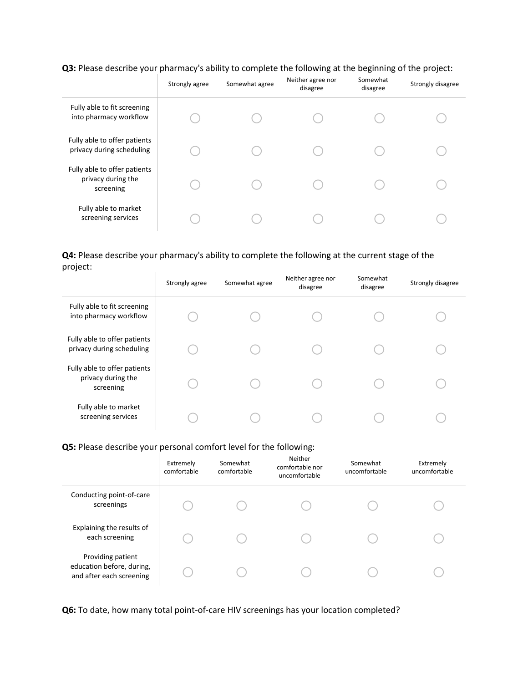### Q3: Please describe your pharmacy's ability to complete the following at the beginning of the project:

|                                                                 | Strongly agree | Somewhat agree | Neither agree nor<br>disagree | Somewhat<br>disagree | Strongly disagree |
|-----------------------------------------------------------------|----------------|----------------|-------------------------------|----------------------|-------------------|
| Fully able to fit screening<br>into pharmacy workflow           |                |                |                               |                      |                   |
| Fully able to offer patients<br>privacy during scheduling       |                |                |                               |                      |                   |
| Fully able to offer patients<br>privacy during the<br>screening |                |                |                               |                      |                   |
| Fully able to market<br>screening services                      |                |                |                               |                      |                   |

#### **Q4:** Please describe your pharmacy's ability to complete the following at the current stage of the project:  $\pm$

|                                                                 | Strongly agree | Somewhat agree | Neither agree nor<br>disagree | Somewhat<br>disagree | Strongly disagree |
|-----------------------------------------------------------------|----------------|----------------|-------------------------------|----------------------|-------------------|
| Fully able to fit screening<br>into pharmacy workflow           |                |                |                               |                      |                   |
| Fully able to offer patients<br>privacy during scheduling       |                |                |                               |                      |                   |
| Fully able to offer patients<br>privacy during the<br>screening |                |                |                               |                      |                   |
| Fully able to market<br>screening services                      |                |                |                               |                      |                   |

#### **Q5:** Please describe your personal comfort level for the following:

|                                                                            | Extremely<br>comfortable | Somewhat<br>comfortable | Neither<br>comfortable nor<br>uncomfortable | Somewhat<br>uncomfortable | Extremely<br>uncomfortable |
|----------------------------------------------------------------------------|--------------------------|-------------------------|---------------------------------------------|---------------------------|----------------------------|
| Conducting point-of-care<br>screenings                                     |                          |                         |                                             |                           |                            |
| Explaining the results of<br>each screening                                |                          |                         |                                             |                           |                            |
| Providing patient<br>education before, during,<br>and after each screening |                          |                         |                                             |                           |                            |

**Q6:** To date, how many total point-of-care HIV screenings has your location completed?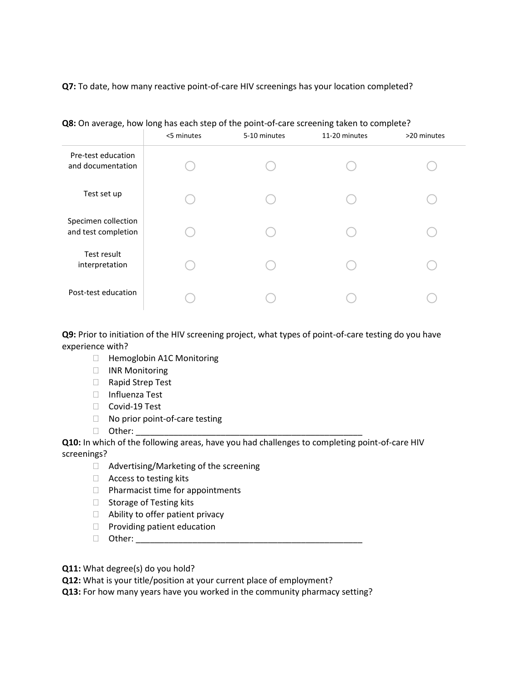**Q7:** To date, how many reactive point-of-care HIV screenings has your location completed?

|                                            | <5 minutes | 5-10 minutes | 11-20 minutes | >20 minutes |
|--------------------------------------------|------------|--------------|---------------|-------------|
| Pre-test education<br>and documentation    |            |              |               |             |
| Test set up                                |            |              |               |             |
| Specimen collection<br>and test completion |            |              |               |             |
| Test result<br>interpretation              |            |              |               |             |
| Post-test education                        |            |              |               |             |

**Q8:** On average, how long has each step of the point-of-care screening taken to complete?

**Q9:** Prior to initiation of the HIV screening project, what types of point-of-care testing do you have experience with?

- □ Hemoglobin A1C Monitoring
- **INR Monitoring**
- □ Rapid Strep Test
- Influenza Test
- □ Covid-19 Test
- $\Box$  No prior point-of-care testing
- $\Box$  Other:

**Q10:** In which of the following areas, have you had challenges to completing point-of-care HIV screenings?

- □ Advertising/Marketing of the screening
- □ Access to testing kits
- $\Box$  Pharmacist time for appointments
- $\Box$  Storage of Testing kits
- □ Ability to offer patient privacy
- $\Box$  Providing patient education
- Other: \_\_\_\_\_\_\_\_\_\_\_\_\_\_\_\_\_\_\_\_\_\_\_\_\_\_\_\_\_\_\_\_\_\_\_\_\_\_\_\_\_\_\_\_\_\_\_\_
- **Q11:** What degree(s) do you hold?

**Q12:** What is your title/position at your current place of employment?

**Q13:** For how many years have you worked in the community pharmacy setting?